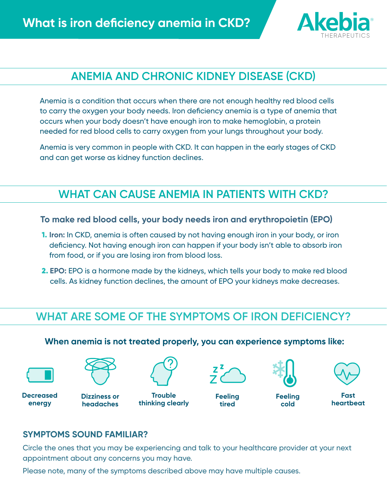

# **ANEMIA AND CHRONIC KIDNEY DISEASE (CKD)**

Anemia is a condition that occurs when there are not enough healthy red blood cells to carry the oxygen your body needs. Iron deficiency anemia is a type of anemia that occurs when your body doesn't have enough iron to make hemoglobin, a protein needed for red blood cells to carry oxygen from your lungs throughout your body.

Anemia is very common in people with CKD. It can happen in the early stages of CKD and can get worse as kidney function declines.

## **WHAT CAN CAUSE ANEMIA IN PATIENTS WITH CKD?**

**To make red blood cells, your body needs iron and erythropoietin (EPO)**

- 1. **Iron:** In CKD, anemia is often caused by not having enough iron in your body, or iron deficiency. Not having enough iron can happen if your body isn't able to absorb iron from food, or if you are losing iron from blood loss.
- 2. **EPO:** EPO is a hormone made by the kidneys, which tells your body to make red blood cells. As kidney function declines, the amount of EPO your kidneys make decreases.

# **WHAT ARE SOME OF THE SYMPTOMS OF IRON DEFICIENCY?**

**When anemia is not treated properly, you can experience symptoms like:**



**Decreased energy**



**Dizziness or headaches**



**Trouble thinking clearly Feeling** 



**tired**



**Feeling** 

**cold**



**Fast heartbeat**

#### **SYMPTOMS SOUND FAMILIAR?**

Circle the ones that you may be experiencing and talk to your healthcare provider at your next appointment about any concerns you may have.

Please note, many of the symptoms described above may have multiple causes.